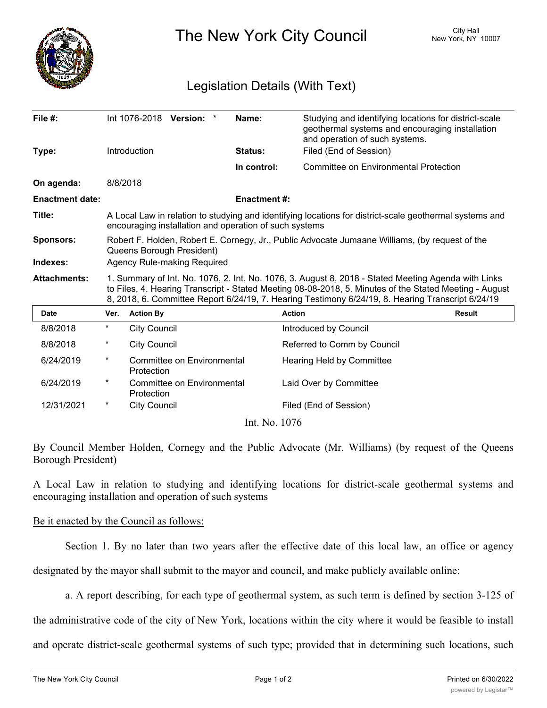

The New York City Council New York, NY 10007

## Legislation Details (With Text)

| File $#$ :             |                                                                                                                                                                                                                                                                                                                    | Int 1076-2018 Version:<br>Introduction   |  | Name:<br><b>Status:</b> | Studying and identifying locations for district-scale<br>geothermal systems and encouraging installation<br>and operation of such systems.<br>Filed (End of Session) |               |
|------------------------|--------------------------------------------------------------------------------------------------------------------------------------------------------------------------------------------------------------------------------------------------------------------------------------------------------------------|------------------------------------------|--|-------------------------|----------------------------------------------------------------------------------------------------------------------------------------------------------------------|---------------|
| Type:                  |                                                                                                                                                                                                                                                                                                                    |                                          |  |                         |                                                                                                                                                                      |               |
|                        |                                                                                                                                                                                                                                                                                                                    |                                          |  | In control:             | <b>Committee on Environmental Protection</b>                                                                                                                         |               |
| On agenda:             |                                                                                                                                                                                                                                                                                                                    | 8/8/2018                                 |  |                         |                                                                                                                                                                      |               |
| <b>Enactment date:</b> |                                                                                                                                                                                                                                                                                                                    |                                          |  | <b>Enactment #:</b>     |                                                                                                                                                                      |               |
| Title:                 | A Local Law in relation to studying and identifying locations for district-scale geothermal systems and<br>encouraging installation and operation of such systems                                                                                                                                                  |                                          |  |                         |                                                                                                                                                                      |               |
| <b>Sponsors:</b>       | Robert F. Holden, Robert E. Cornegy, Jr., Public Advocate Jumaane Williams, (by request of the<br>Queens Borough President)                                                                                                                                                                                        |                                          |  |                         |                                                                                                                                                                      |               |
| Indexes:               | <b>Agency Rule-making Required</b>                                                                                                                                                                                                                                                                                 |                                          |  |                         |                                                                                                                                                                      |               |
| <b>Attachments:</b>    | 1. Summary of Int. No. 1076, 2. Int. No. 1076, 3. August 8, 2018 - Stated Meeting Agenda with Links<br>to Files, 4. Hearing Transcript - Stated Meeting 08-08-2018, 5. Minutes of the Stated Meeting - August<br>8, 2018, 6. Committee Report 6/24/19, 7. Hearing Testimony 6/24/19, 8. Hearing Transcript 6/24/19 |                                          |  |                         |                                                                                                                                                                      |               |
| <b>Date</b>            | Ver.                                                                                                                                                                                                                                                                                                               | <b>Action By</b>                         |  |                         | <b>Action</b>                                                                                                                                                        | <b>Result</b> |
| 8/8/2018               | $\star$                                                                                                                                                                                                                                                                                                            | <b>City Council</b>                      |  |                         | Introduced by Council                                                                                                                                                |               |
| 8/8/2018               | $^\ast$                                                                                                                                                                                                                                                                                                            | <b>City Council</b>                      |  |                         | Referred to Comm by Council                                                                                                                                          |               |
| 6/24/2019              | $^\star$                                                                                                                                                                                                                                                                                                           | Committee on Environmental<br>Protection |  |                         | <b>Hearing Held by Committee</b>                                                                                                                                     |               |
| 6/24/2019              | $^\star$                                                                                                                                                                                                                                                                                                           | Committee on Environmental<br>Protection |  |                         | Laid Over by Committee                                                                                                                                               |               |
| 12/31/2021             | $^\ast$                                                                                                                                                                                                                                                                                                            | <b>City Council</b>                      |  |                         | Filed (End of Session)                                                                                                                                               |               |
|                        |                                                                                                                                                                                                                                                                                                                    |                                          |  | Int. No. 1076           |                                                                                                                                                                      |               |

By Council Member Holden, Cornegy and the Public Advocate (Mr. Williams) (by request of the Queens Borough President)

A Local Law in relation to studying and identifying locations for district-scale geothermal systems and encouraging installation and operation of such systems

## Be it enacted by the Council as follows:

Section 1. By no later than two years after the effective date of this local law, an office or agency

designated by the mayor shall submit to the mayor and council, and make publicly available online:

a. A report describing, for each type of geothermal system, as such term is defined by section 3-125 of

the administrative code of the city of New York, locations within the city where it would be feasible to install

and operate district-scale geothermal systems of such type; provided that in determining such locations, such